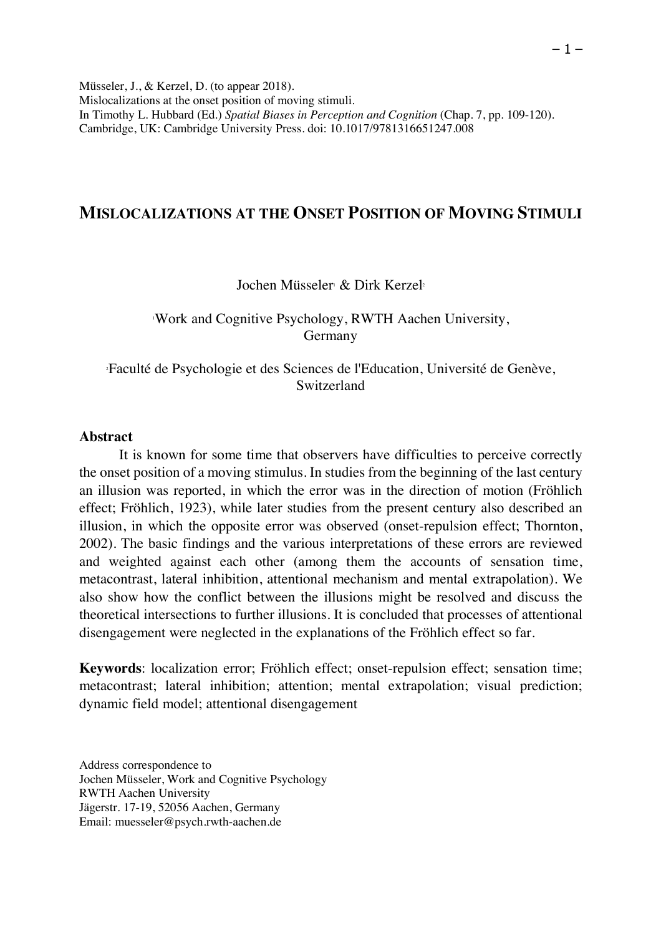Müsseler, J., & Kerzel, D. (to appear 2018). Mislocalizations at the onset position of moving stimuli. In Timothy L. Hubbard (Ed.) *Spatial Biases in Perception and Cognition* (Chap. 7, pp. 109-120). Cambridge, UK: Cambridge University Press. doi: 10.1017/9781316651247.008

# **MISLOCALIZATIONS AT THE ONSET POSITION OF MOVING STIMULI**

#### Jochen Müsseler & Dirk Kerzel<sup>2</sup>

### 1 Work and Cognitive Psychology, RWTH Aachen University, Germany

2 Faculté de Psychologie et des Sciences de l'Education, Université de Genève, Switzerland

#### **Abstract**

It is known for some time that observers have difficulties to perceive correctly the onset position of a moving stimulus. In studies from the beginning of the last century an illusion was reported, in which the error was in the direction of motion (Fröhlich effect; Fröhlich, 1923), while later studies from the present century also described an illusion, in which the opposite error was observed (onset-repulsion effect; Thornton, 2002). The basic findings and the various interpretations of these errors are reviewed and weighted against each other (among them the accounts of sensation time, metacontrast, lateral inhibition, attentional mechanism and mental extrapolation). We also show how the conflict between the illusions might be resolved and discuss the theoretical intersections to further illusions. It is concluded that processes of attentional disengagement were neglected in the explanations of the Fröhlich effect so far.

**Keywords**: localization error; Fröhlich effect; onset-repulsion effect; sensation time; metacontrast; lateral inhibition; attention; mental extrapolation; visual prediction; dynamic field model; attentional disengagement

Address correspondence to Jochen Müsseler, Work and Cognitive Psychology RWTH Aachen University Jägerstr. 17-19, 52056 Aachen, Germany Email: muesseler@psych.rwth-aachen.de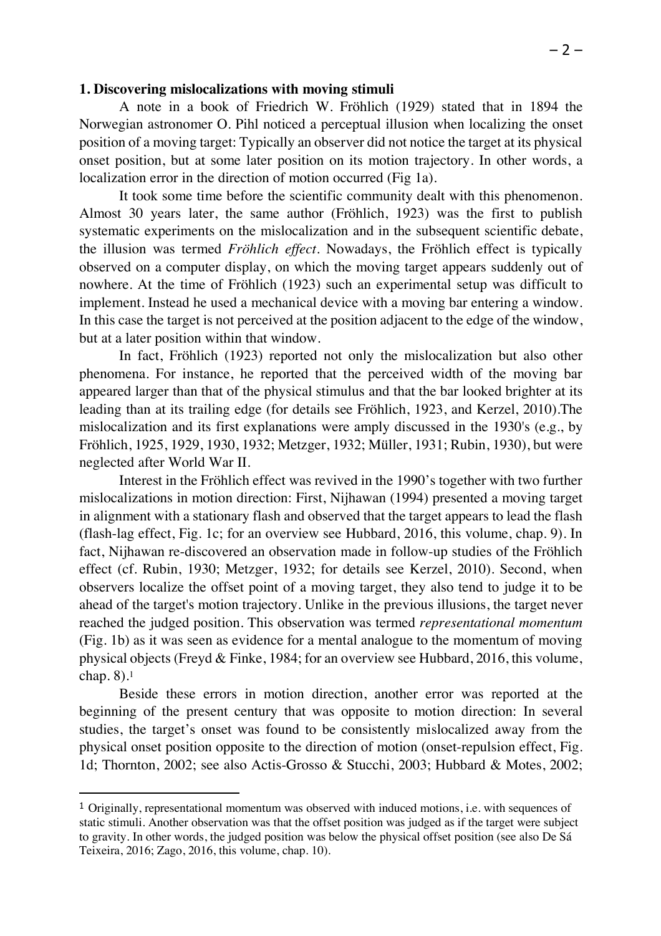#### **1. Discovering mislocalizations with moving stimuli**

A note in a book of Friedrich W. Fröhlich (1929) stated that in 1894 the Norwegian astronomer O. Pihl noticed a perceptual illusion when localizing the onset position of a moving target: Typically an observer did not notice the target at its physical onset position, but at some later position on its motion trajectory. In other words, a localization error in the direction of motion occurred (Fig 1a).

It took some time before the scientific community dealt with this phenomenon. Almost 30 years later, the same author (Fröhlich, 1923) was the first to publish systematic experiments on the mislocalization and in the subsequent scientific debate, the illusion was termed *Fröhlich effect*. Nowadays, the Fröhlich effect is typically observed on a computer display, on which the moving target appears suddenly out of nowhere. At the time of Fröhlich (1923) such an experimental setup was difficult to implement. Instead he used a mechanical device with a moving bar entering a window. In this case the target is not perceived at the position adjacent to the edge of the window, but at a later position within that window.

In fact, Fröhlich (1923) reported not only the mislocalization but also other phenomena. For instance, he reported that the perceived width of the moving bar appeared larger than that of the physical stimulus and that the bar looked brighter at its leading than at its trailing edge (for details see Fröhlich, 1923, and Kerzel, 2010).The mislocalization and its first explanations were amply discussed in the 1930's (e.g., by Fröhlich, 1925, 1929, 1930, 1932; Metzger, 1932; Müller, 1931; Rubin, 1930), but were neglected after World War II.

Interest in the Fröhlich effect was revived in the 1990's together with two further mislocalizations in motion direction: First, Nijhawan (1994) presented a moving target in alignment with a stationary flash and observed that the target appears to lead the flash (flash-lag effect, Fig. 1c; for an overview see Hubbard, 2016, this volume, chap. 9). In fact, Nijhawan re-discovered an observation made in follow-up studies of the Fröhlich effect (cf. Rubin, 1930; Metzger, 1932; for details see Kerzel, 2010). Second, when observers localize the offset point of a moving target, they also tend to judge it to be ahead of the target's motion trajectory. Unlike in the previous illusions, the target never reached the judged position. This observation was termed *representational momentum* (Fig. 1b) as it was seen as evidence for a mental analogue to the momentum of moving physical objects (Freyd & Finke, 1984; for an overview see Hubbard, 2016, this volume, chap. 8).1

Beside these errors in motion direction, another error was reported at the beginning of the present century that was opposite to motion direction: In several studies, the target's onset was found to be consistently mislocalized away from the physical onset position opposite to the direction of motion (onset-repulsion effect, Fig. 1d; Thornton, 2002; see also Actis-Grosso & Stucchi, 2003; Hubbard & Motes, 2002;

 $\overline{a}$ 

<sup>1</sup> Originally, representational momentum was observed with induced motions, i.e. with sequences of static stimuli. Another observation was that the offset position was judged as if the target were subject to gravity. In other words, the judged position was below the physical offset position (see also De Sá Teixeira, 2016; Zago, 2016, this volume, chap. 10).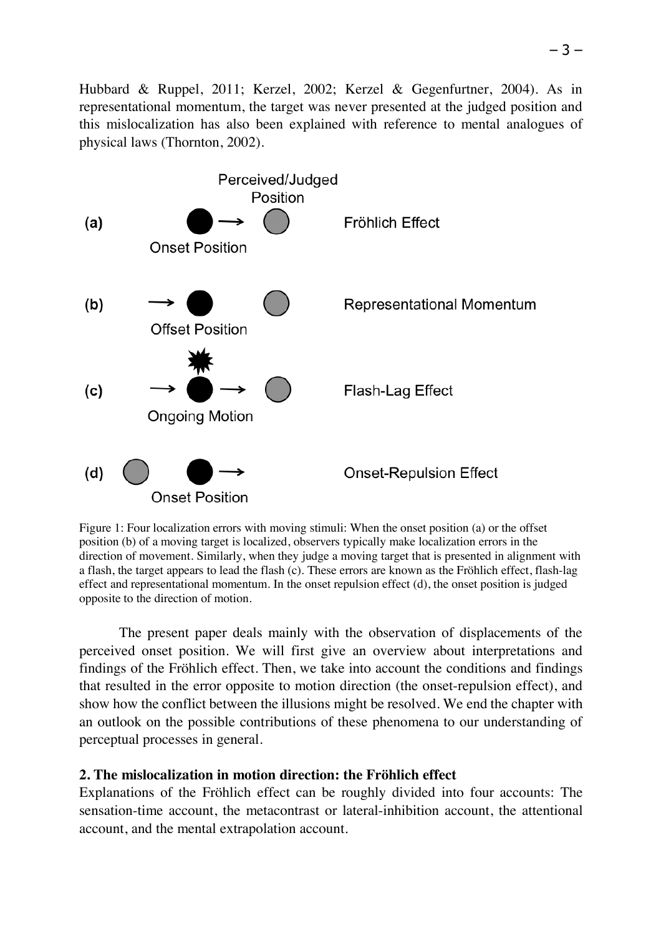Hubbard & Ruppel, 2011; Kerzel, 2002; Kerzel & Gegenfurtner, 2004). As in representational momentum, the target was never presented at the judged position and this mislocalization has also been explained with reference to mental analogues of physical laws (Thornton, 2002).



Figure 1: Four localization errors with moving stimuli: When the onset position (a) or the offset position (b) of a moving target is localized, observers typically make localization errors in the direction of movement. Similarly, when they judge a moving target that is presented in alignment with a flash, the target appears to lead the flash (c). These errors are known as the Fröhlich effect, flash-lag effect and representational momentum. In the onset repulsion effect (d), the onset position is judged opposite to the direction of motion.

The present paper deals mainly with the observation of displacements of the perceived onset position. We will first give an overview about interpretations and findings of the Fröhlich effect. Then, we take into account the conditions and findings that resulted in the error opposite to motion direction (the onset-repulsion effect), and show how the conflict between the illusions might be resolved. We end the chapter with an outlook on the possible contributions of these phenomena to our understanding of perceptual processes in general.

## **2. The mislocalization in motion direction: the Fröhlich effect**

Explanations of the Fröhlich effect can be roughly divided into four accounts: The sensation-time account, the metacontrast or lateral-inhibition account, the attentional account, and the mental extrapolation account.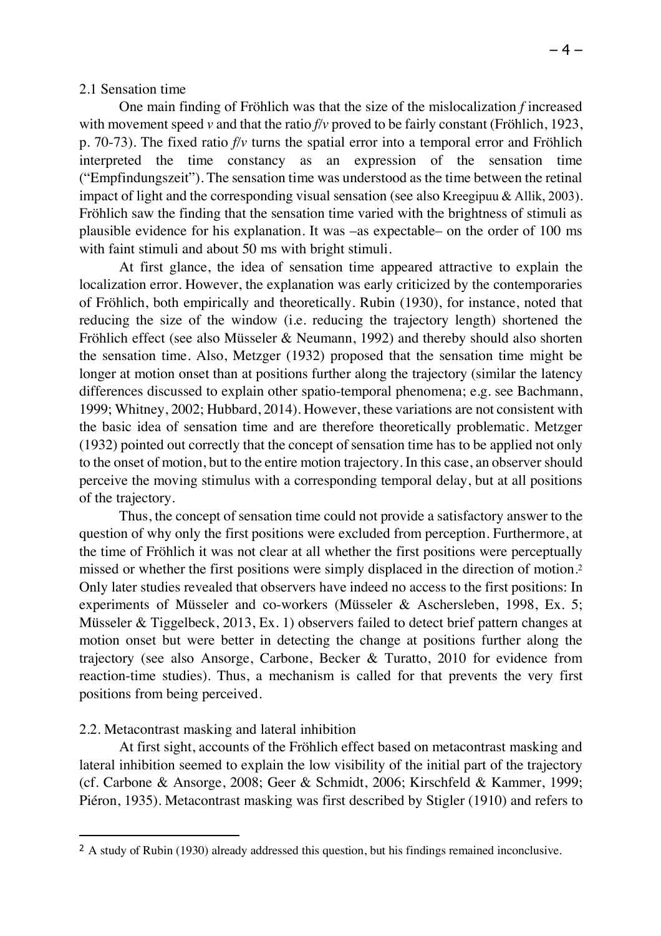## 2.1 Sensation time

One main finding of Fröhlich was that the size of the mislocalization *f* increased with movement speed *v* and that the ratio *f/v* proved to be fairly constant (Fröhlich, 1923, p. 70-73). The fixed ratio *f/v* turns the spatial error into a temporal error and Fröhlich interpreted the time constancy as an expression of the sensation time ("Empfindungszeit"). The sensation time was understood as the time between the retinal impact of light and the corresponding visual sensation (see also Kreegipuu & Allik, 2003). Fröhlich saw the finding that the sensation time varied with the brightness of stimuli as plausible evidence for his explanation. It was –as expectable– on the order of 100 ms with faint stimuli and about 50 ms with bright stimuli.

At first glance, the idea of sensation time appeared attractive to explain the localization error. However, the explanation was early criticized by the contemporaries of Fröhlich, both empirically and theoretically. Rubin (1930), for instance, noted that reducing the size of the window (i.e. reducing the trajectory length) shortened the Fröhlich effect (see also Müsseler & Neumann, 1992) and thereby should also shorten the sensation time. Also, Metzger (1932) proposed that the sensation time might be longer at motion onset than at positions further along the trajectory (similar the latency differences discussed to explain other spatio-temporal phenomena; e.g. see Bachmann, 1999; Whitney, 2002; Hubbard, 2014). However, these variations are not consistent with the basic idea of sensation time and are therefore theoretically problematic. Metzger (1932) pointed out correctly that the concept of sensation time has to be applied not only to the onset of motion, but to the entire motion trajectory. In this case, an observer should perceive the moving stimulus with a corresponding temporal delay, but at all positions of the trajectory.

Thus, the concept of sensation time could not provide a satisfactory answer to the question of why only the first positions were excluded from perception. Furthermore, at the time of Fröhlich it was not clear at all whether the first positions were perceptually missed or whether the first positions were simply displaced in the direction of motion.2 Only later studies revealed that observers have indeed no access to the first positions: In experiments of Müsseler and co-workers (Müsseler & Aschersleben, 1998, Ex. 5; Müsseler & Tiggelbeck, 2013, Ex. 1) observers failed to detect brief pattern changes at motion onset but were better in detecting the change at positions further along the trajectory (see also Ansorge, Carbone, Becker & Turatto, 2010 for evidence from reaction-time studies). Thus, a mechanism is called for that prevents the very first positions from being perceived.

## 2.2. Metacontrast masking and lateral inhibition

 $\overline{a}$ 

At first sight, accounts of the Fröhlich effect based on metacontrast masking and lateral inhibition seemed to explain the low visibility of the initial part of the trajectory (cf. Carbone & Ansorge, 2008; Geer & Schmidt, 2006; Kirschfeld & Kammer, 1999; Piéron, 1935). Metacontrast masking was first described by Stigler (1910) and refers to

<sup>&</sup>lt;sup>2</sup> A study of Rubin (1930) already addressed this question, but his findings remained inconclusive.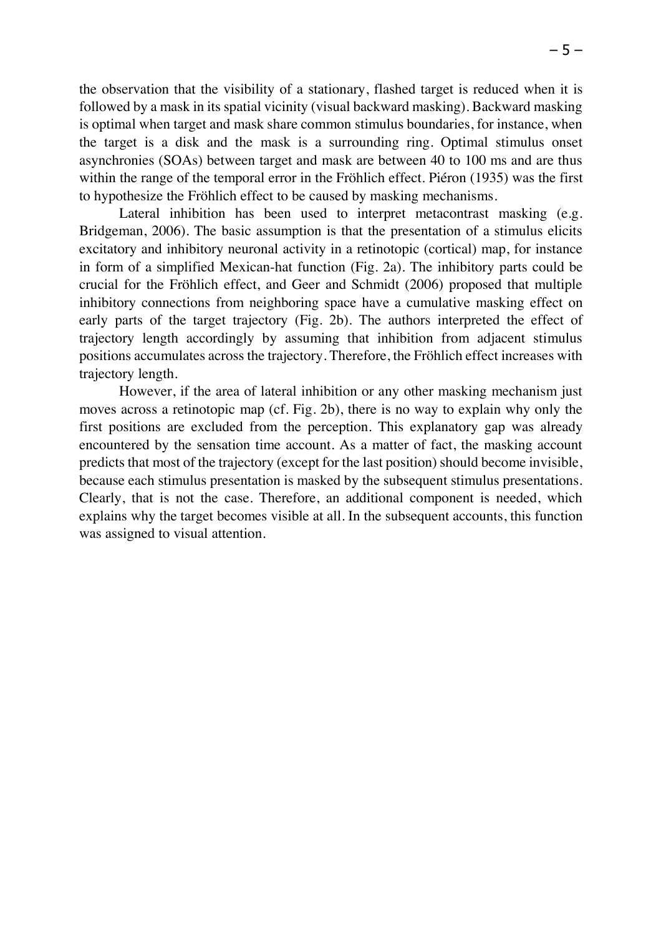the observation that the visibility of a stationary, flashed target is reduced when it is followed by a mask in its spatial vicinity (visual backward masking). Backward masking is optimal when target and mask share common stimulus boundaries, for instance, when the target is a disk and the mask is a surrounding ring. Optimal stimulus onset asynchronies (SOAs) between target and mask are between 40 to 100 ms and are thus within the range of the temporal error in the Fröhlich effect. Piéron (1935) was the first to hypothesize the Fröhlich effect to be caused by masking mechanisms.

Lateral inhibition has been used to interpret metacontrast masking (e.g. Bridgeman, 2006). The basic assumption is that the presentation of a stimulus elicits excitatory and inhibitory neuronal activity in a retinotopic (cortical) map, for instance in form of a simplified Mexican-hat function (Fig. 2a). The inhibitory parts could be crucial for the Fröhlich effect, and Geer and Schmidt (2006) proposed that multiple inhibitory connections from neighboring space have a cumulative masking effect on early parts of the target trajectory (Fig. 2b). The authors interpreted the effect of trajectory length accordingly by assuming that inhibition from adjacent stimulus positions accumulates across the trajectory. Therefore, the Fröhlich effect increases with trajectory length.

However, if the area of lateral inhibition or any other masking mechanism just moves across a retinotopic map (cf. Fig. 2b), there is no way to explain why only the first positions are excluded from the perception. This explanatory gap was already encountered by the sensation time account. As a matter of fact, the masking account predicts that most of the trajectory (except for the last position) should become invisible, because each stimulus presentation is masked by the subsequent stimulus presentations. Clearly, that is not the case. Therefore, an additional component is needed, which explains why the target becomes visible at all. In the subsequent accounts, this function was assigned to visual attention.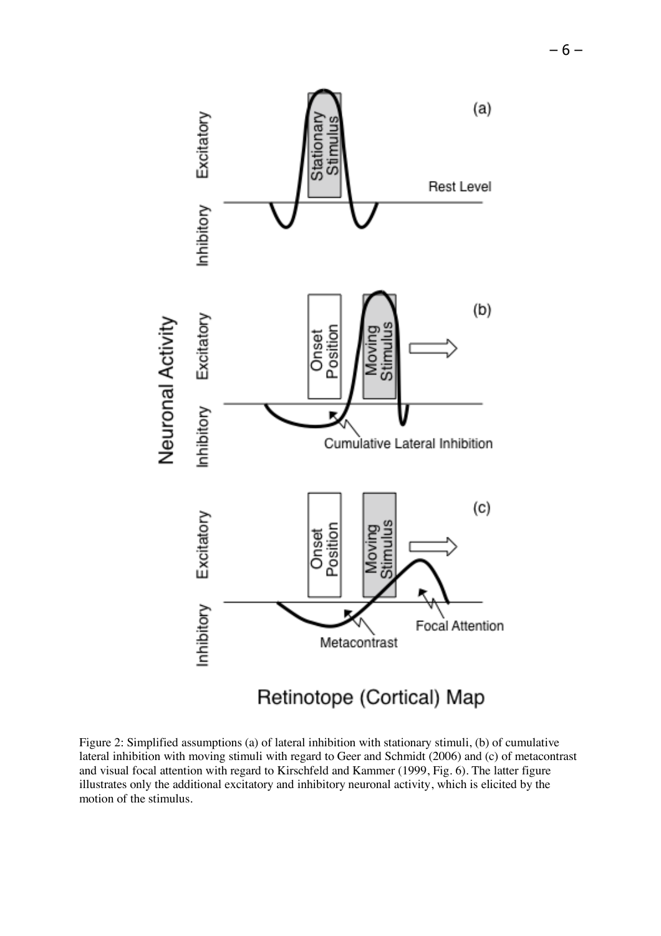

Figure 2: Simplified assumptions (a) of lateral inhibition with stationary stimuli, (b) of cumulative lateral inhibition with moving stimuli with regard to Geer and Schmidt (2006) and (c) of metacontrast and visual focal attention with regard to Kirschfeld and Kammer (1999, Fig. 6). The latter figure illustrates only the additional excitatory and inhibitory neuronal activity, which is elicited by the motion of the stimulus.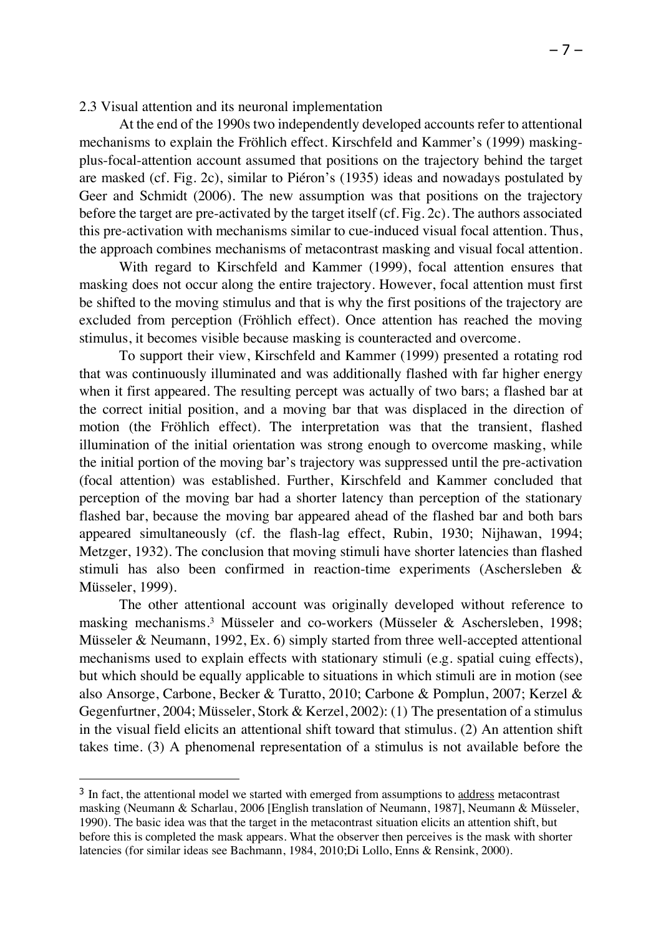2.3 Visual attention and its neuronal implementation

At the end of the 1990s two independently developed accounts refer to attentional mechanisms to explain the Fröhlich effect. Kirschfeld and Kammer's (1999) maskingplus-focal-attention account assumed that positions on the trajectory behind the target are masked (cf. Fig. 2c), similar to Piéron's (1935) ideas and nowadays postulated by Geer and Schmidt (2006). The new assumption was that positions on the trajectory before the target are pre-activated by the target itself (cf. Fig. 2c). The authors associated this pre-activation with mechanisms similar to cue-induced visual focal attention. Thus, the approach combines mechanisms of metacontrast masking and visual focal attention.

With regard to Kirschfeld and Kammer (1999), focal attention ensures that masking does not occur along the entire trajectory. However, focal attention must first be shifted to the moving stimulus and that is why the first positions of the trajectory are excluded from perception (Fröhlich effect). Once attention has reached the moving stimulus, it becomes visible because masking is counteracted and overcome.

To support their view, Kirschfeld and Kammer (1999) presented a rotating rod that was continuously illuminated and was additionally flashed with far higher energy when it first appeared. The resulting percept was actually of two bars; a flashed bar at the correct initial position, and a moving bar that was displaced in the direction of motion (the Fröhlich effect). The interpretation was that the transient, flashed illumination of the initial orientation was strong enough to overcome masking, while the initial portion of the moving bar's trajectory was suppressed until the pre-activation (focal attention) was established. Further, Kirschfeld and Kammer concluded that perception of the moving bar had a shorter latency than perception of the stationary flashed bar, because the moving bar appeared ahead of the flashed bar and both bars appeared simultaneously (cf. the flash-lag effect, Rubin, 1930; Nijhawan, 1994; Metzger, 1932). The conclusion that moving stimuli have shorter latencies than flashed stimuli has also been confirmed in reaction-time experiments (Aschersleben & Müsseler, 1999).

The other attentional account was originally developed without reference to masking mechanisms.3 Müsseler and co-workers (Müsseler & Aschersleben, 1998; Müsseler & Neumann, 1992, Ex. 6) simply started from three well-accepted attentional mechanisms used to explain effects with stationary stimuli (e.g. spatial cuing effects), but which should be equally applicable to situations in which stimuli are in motion (see also Ansorge, Carbone, Becker & Turatto, 2010; Carbone & Pomplun, 2007; Kerzel & Gegenfurtner, 2004; Müsseler, Stork & Kerzel, 2002): (1) The presentation of a stimulus in the visual field elicits an attentional shift toward that stimulus. (2) An attention shift takes time. (3) A phenomenal representation of a stimulus is not available before the

 $\overline{a}$ 

<sup>&</sup>lt;sup>3</sup> In fact, the attentional model we started with emerged from assumptions to address metacontrast masking (Neumann & Scharlau, 2006 [English translation of Neumann, 1987], Neumann & Müsseler, 1990). The basic idea was that the target in the metacontrast situation elicits an attention shift, but before this is completed the mask appears. What the observer then perceives is the mask with shorter latencies (for similar ideas see Bachmann, 1984, 2010;Di Lollo, Enns & Rensink, 2000).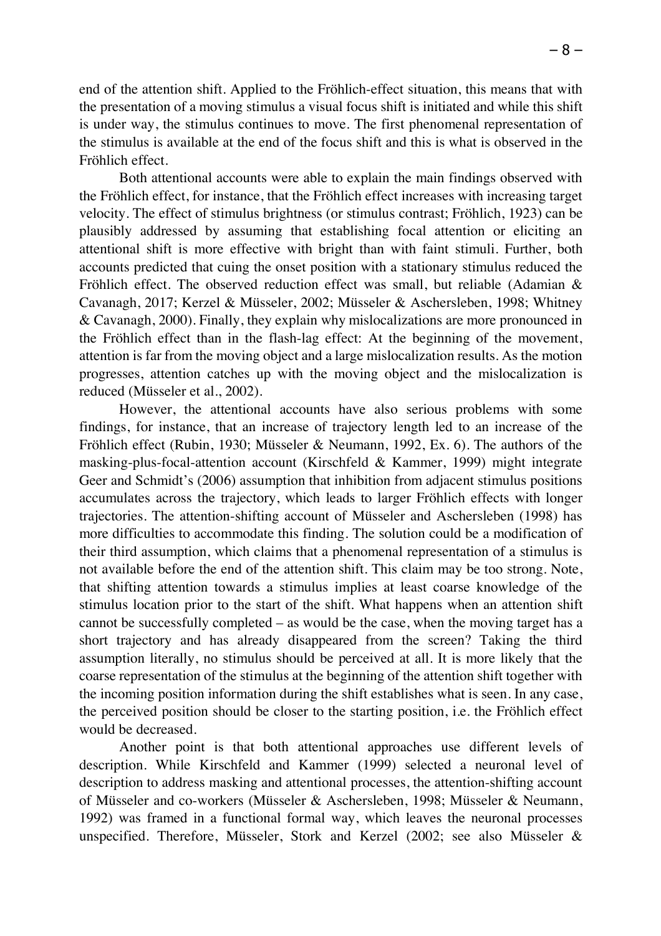end of the attention shift. Applied to the Fröhlich-effect situation, this means that with the presentation of a moving stimulus a visual focus shift is initiated and while this shift is under way, the stimulus continues to move. The first phenomenal representation of the stimulus is available at the end of the focus shift and this is what is observed in the Fröhlich effect.

Both attentional accounts were able to explain the main findings observed with the Fröhlich effect, for instance, that the Fröhlich effect increases with increasing target velocity. The effect of stimulus brightness (or stimulus contrast; Fröhlich, 1923) can be plausibly addressed by assuming that establishing focal attention or eliciting an attentional shift is more effective with bright than with faint stimuli. Further, both accounts predicted that cuing the onset position with a stationary stimulus reduced the Fröhlich effect. The observed reduction effect was small, but reliable (Adamian & Cavanagh, 2017; Kerzel & Müsseler, 2002; Müsseler & Aschersleben, 1998; Whitney & Cavanagh, 2000). Finally, they explain why mislocalizations are more pronounced in the Fröhlich effect than in the flash-lag effect: At the beginning of the movement, attention is far from the moving object and a large mislocalization results. As the motion progresses, attention catches up with the moving object and the mislocalization is reduced (Müsseler et al., 2002).

However, the attentional accounts have also serious problems with some findings, for instance, that an increase of trajectory length led to an increase of the Fröhlich effect (Rubin, 1930; Müsseler & Neumann, 1992, Ex. 6). The authors of the masking-plus-focal-attention account (Kirschfeld & Kammer, 1999) might integrate Geer and Schmidt's (2006) assumption that inhibition from adjacent stimulus positions accumulates across the trajectory, which leads to larger Fröhlich effects with longer trajectories. The attention-shifting account of Müsseler and Aschersleben (1998) has more difficulties to accommodate this finding. The solution could be a modification of their third assumption, which claims that a phenomenal representation of a stimulus is not available before the end of the attention shift. This claim may be too strong. Note, that shifting attention towards a stimulus implies at least coarse knowledge of the stimulus location prior to the start of the shift. What happens when an attention shift cannot be successfully completed – as would be the case, when the moving target has a short trajectory and has already disappeared from the screen? Taking the third assumption literally, no stimulus should be perceived at all. It is more likely that the coarse representation of the stimulus at the beginning of the attention shift together with the incoming position information during the shift establishes what is seen. In any case, the perceived position should be closer to the starting position, i.e. the Fröhlich effect would be decreased.

Another point is that both attentional approaches use different levels of description. While Kirschfeld and Kammer (1999) selected a neuronal level of description to address masking and attentional processes, the attention-shifting account of Müsseler and co-workers (Müsseler & Aschersleben, 1998; Müsseler & Neumann, 1992) was framed in a functional formal way, which leaves the neuronal processes unspecified. Therefore, Müsseler, Stork and Kerzel (2002; see also Müsseler &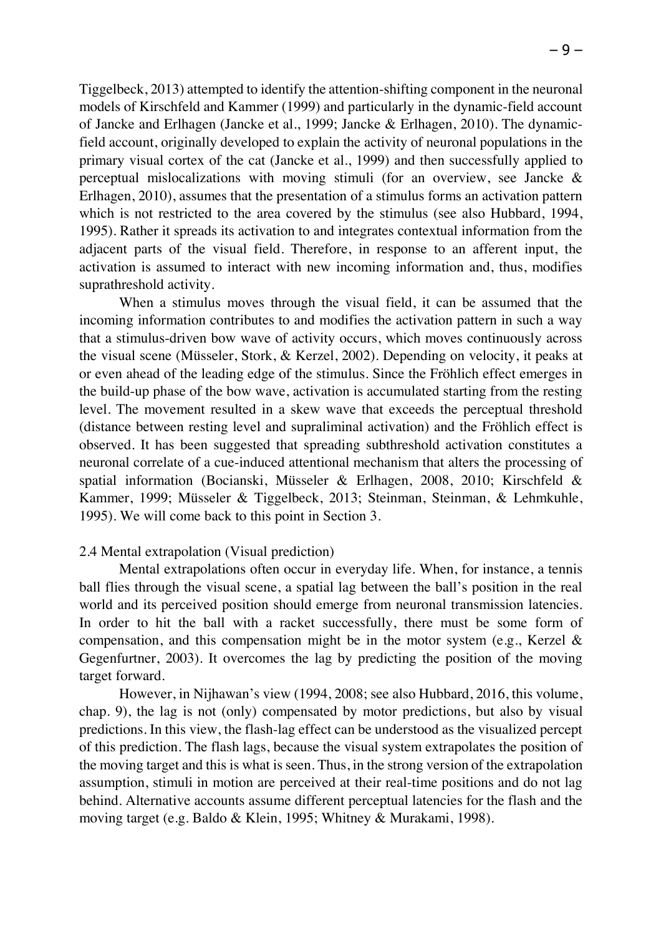Tiggelbeck, 2013) attempted to identify the attention-shifting component in the neuronal models of Kirschfeld and Kammer (1999) and particularly in the dynamic-field account of Jancke and Erlhagen (Jancke et al., 1999; Jancke & Erlhagen, 2010). The dynamicfield account, originally developed to explain the activity of neuronal populations in the primary visual cortex of the cat (Jancke et al., 1999) and then successfully applied to

perceptual mislocalizations with moving stimuli (for an overview, see Jancke & Erlhagen, 2010), assumes that the presentation of a stimulus forms an activation pattern which is not restricted to the area covered by the stimulus (see also Hubbard, 1994, 1995). Rather it spreads its activation to and integrates contextual information from the adjacent parts of the visual field. Therefore, in response to an afferent input, the activation is assumed to interact with new incoming information and, thus, modifies suprathreshold activity.

When a stimulus moves through the visual field, it can be assumed that the incoming information contributes to and modifies the activation pattern in such a way that a stimulus-driven bow wave of activity occurs, which moves continuously across the visual scene (Müsseler, Stork, & Kerzel, 2002). Depending on velocity, it peaks at or even ahead of the leading edge of the stimulus. Since the Fröhlich effect emerges in the build-up phase of the bow wave, activation is accumulated starting from the resting level. The movement resulted in a skew wave that exceeds the perceptual threshold (distance between resting level and supraliminal activation) and the Fröhlich effect is observed. It has been suggested that spreading subthreshold activation constitutes a neuronal correlate of a cue-induced attentional mechanism that alters the processing of spatial information (Bocianski, Müsseler & Erlhagen, 2008, 2010; Kirschfeld & Kammer, 1999; Müsseler & Tiggelbeck, 2013; Steinman, Steinman, & Lehmkuhle, 1995). We will come back to this point in Section 3.

## 2.4 Mental extrapolation (Visual prediction)

Mental extrapolations often occur in everyday life. When, for instance, a tennis ball flies through the visual scene, a spatial lag between the ball's position in the real world and its perceived position should emerge from neuronal transmission latencies. In order to hit the ball with a racket successfully, there must be some form of compensation, and this compensation might be in the motor system (e.g., Kerzel & Gegenfurtner, 2003). It overcomes the lag by predicting the position of the moving target forward.

However, in Nijhawan's view (1994, 2008; see also Hubbard, 2016, this volume, chap. 9), the lag is not (only) compensated by motor predictions, but also by visual predictions. In this view, the flash-lag effect can be understood as the visualized percept of this prediction. The flash lags, because the visual system extrapolates the position of the moving target and this is what is seen. Thus, in the strong version of the extrapolation assumption, stimuli in motion are perceived at their real-time positions and do not lag behind. Alternative accounts assume different perceptual latencies for the flash and the moving target (e.g. Baldo & Klein, 1995; Whitney & Murakami, 1998).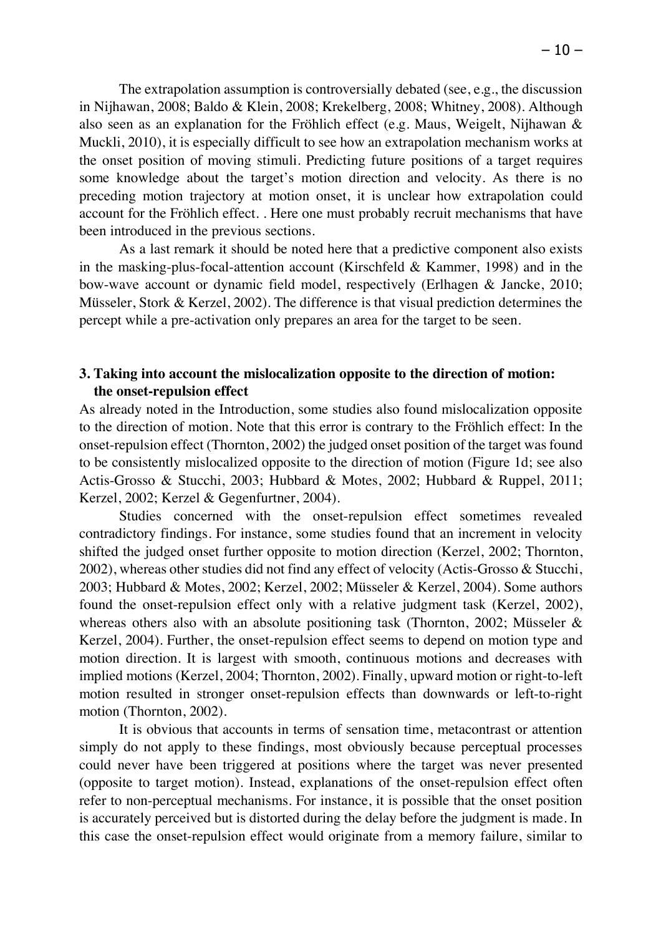The extrapolation assumption is controversially debated (see, e.g., the discussion in Nijhawan, 2008; Baldo & Klein, 2008; Krekelberg, 2008; Whitney, 2008). Although also seen as an explanation for the Fröhlich effect (e.g. Maus, Weigelt, Nijhawan & Muckli, 2010), it is especially difficult to see how an extrapolation mechanism works at the onset position of moving stimuli. Predicting future positions of a target requires some knowledge about the target's motion direction and velocity. As there is no preceding motion trajectory at motion onset, it is unclear how extrapolation could account for the Fröhlich effect. . Here one must probably recruit mechanisms that have been introduced in the previous sections.

As a last remark it should be noted here that a predictive component also exists in the masking-plus-focal-attention account (Kirschfeld & Kammer, 1998) and in the bow-wave account or dynamic field model, respectively (Erlhagen & Jancke, 2010; Müsseler, Stork & Kerzel, 2002). The difference is that visual prediction determines the percept while a pre-activation only prepares an area for the target to be seen.

## **3. Taking into account the mislocalization opposite to the direction of motion: the onset-repulsion effect**

As already noted in the Introduction, some studies also found mislocalization opposite to the direction of motion. Note that this error is contrary to the Fröhlich effect: In the onset-repulsion effect (Thornton, 2002) the judged onset position of the target was found to be consistently mislocalized opposite to the direction of motion (Figure 1d; see also Actis-Grosso & Stucchi, 2003; Hubbard & Motes, 2002; Hubbard & Ruppel, 2011; Kerzel, 2002; Kerzel & Gegenfurtner, 2004).

Studies concerned with the onset-repulsion effect sometimes revealed contradictory findings. For instance, some studies found that an increment in velocity shifted the judged onset further opposite to motion direction (Kerzel, 2002; Thornton, 2002), whereas other studies did not find any effect of velocity (Actis-Grosso & Stucchi, 2003; Hubbard & Motes, 2002; Kerzel, 2002; Müsseler & Kerzel, 2004). Some authors found the onset-repulsion effect only with a relative judgment task (Kerzel, 2002), whereas others also with an absolute positioning task (Thornton, 2002; Müsseler & Kerzel, 2004). Further, the onset-repulsion effect seems to depend on motion type and motion direction. It is largest with smooth, continuous motions and decreases with implied motions (Kerzel, 2004; Thornton, 2002). Finally, upward motion or right-to-left motion resulted in stronger onset-repulsion effects than downwards or left-to-right motion (Thornton, 2002).

It is obvious that accounts in terms of sensation time, metacontrast or attention simply do not apply to these findings, most obviously because perceptual processes could never have been triggered at positions where the target was never presented (opposite to target motion). Instead, explanations of the onset-repulsion effect often refer to non-perceptual mechanisms. For instance, it is possible that the onset position is accurately perceived but is distorted during the delay before the judgment is made. In this case the onset-repulsion effect would originate from a memory failure, similar to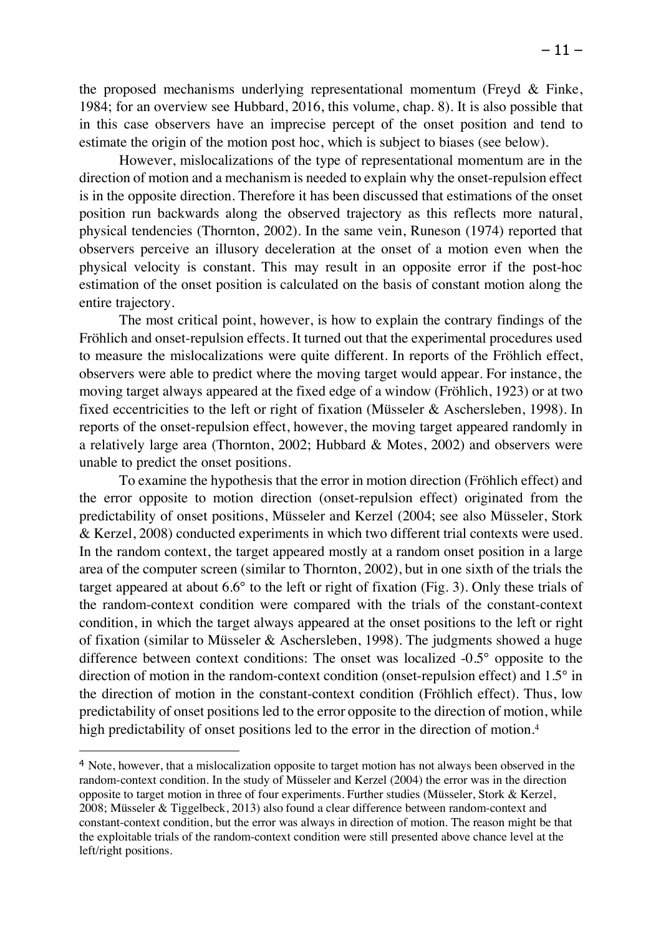the proposed mechanisms underlying representational momentum (Freyd & Finke, 1984; for an overview see Hubbard, 2016, this volume, chap. 8). It is also possible that in this case observers have an imprecise percept of the onset position and tend to estimate the origin of the motion post hoc, which is subject to biases (see below).

However, mislocalizations of the type of representational momentum are in the direction of motion and a mechanism is needed to explain why the onset-repulsion effect is in the opposite direction. Therefore it has been discussed that estimations of the onset position run backwards along the observed trajectory as this reflects more natural, physical tendencies (Thornton, 2002). In the same vein, Runeson (1974) reported that observers perceive an illusory deceleration at the onset of a motion even when the physical velocity is constant. This may result in an opposite error if the post-hoc estimation of the onset position is calculated on the basis of constant motion along the entire trajectory.

The most critical point, however, is how to explain the contrary findings of the Fröhlich and onset-repulsion effects. It turned out that the experimental procedures used to measure the mislocalizations were quite different. In reports of the Fröhlich effect, observers were able to predict where the moving target would appear. For instance, the moving target always appeared at the fixed edge of a window (Fröhlich, 1923) or at two fixed eccentricities to the left or right of fixation (Müsseler & Aschersleben, 1998). In reports of the onset-repulsion effect, however, the moving target appeared randomly in a relatively large area (Thornton, 2002; Hubbard & Motes, 2002) and observers were unable to predict the onset positions.

To examine the hypothesis that the error in motion direction (Fröhlich effect) and the error opposite to motion direction (onset-repulsion effect) originated from the predictability of onset positions, Müsseler and Kerzel (2004; see also Müsseler, Stork & Kerzel, 2008) conducted experiments in which two different trial contexts were used. In the random context, the target appeared mostly at a random onset position in a large area of the computer screen (similar to Thornton, 2002), but in one sixth of the trials the target appeared at about 6.6° to the left or right of fixation (Fig. 3). Only these trials of the random-context condition were compared with the trials of the constant-context condition, in which the target always appeared at the onset positions to the left or right of fixation (similar to Müsseler & Aschersleben, 1998). The judgments showed a huge difference between context conditions: The onset was localized -0.5° opposite to the direction of motion in the random-context condition (onset-repulsion effect) and 1.5° in the direction of motion in the constant-context condition (Fröhlich effect). Thus, low predictability of onset positions led to the error opposite to the direction of motion, while high predictability of onset positions led to the error in the direction of motion.<sup>4</sup>

 $\overline{a}$ 

<sup>4</sup> Note, however, that a mislocalization opposite to target motion has not always been observed in the random-context condition. In the study of Müsseler and Kerzel (2004) the error was in the direction opposite to target motion in three of four experiments. Further studies (Müsseler, Stork & Kerzel, 2008; Müsseler & Tiggelbeck, 2013) also found a clear difference between random-context and constant-context condition, but the error was always in direction of motion. The reason might be that the exploitable trials of the random-context condition were still presented above chance level at the left/right positions.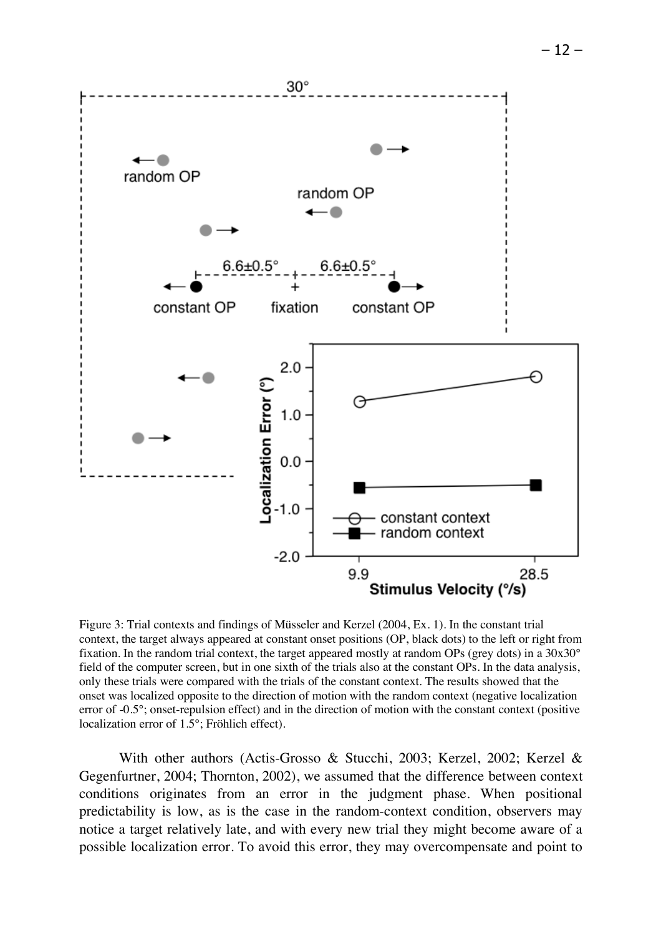

Figure 3: Trial contexts and findings of Müsseler and Kerzel (2004, Ex. 1). In the constant trial context, the target always appeared at constant onset positions (OP, black dots) to the left or right from fixation. In the random trial context, the target appeared mostly at random OPs (grey dots) in a 30x30° field of the computer screen, but in one sixth of the trials also at the constant OPs. In the data analysis, only these trials were compared with the trials of the constant context. The results showed that the onset was localized opposite to the direction of motion with the random context (negative localization error of -0.5°; onset-repulsion effect) and in the direction of motion with the constant context (positive localization error of 1.5°; Fröhlich effect).

With other authors (Actis-Grosso & Stucchi, 2003; Kerzel, 2002; Kerzel & Gegenfurtner, 2004; Thornton, 2002), we assumed that the difference between context conditions originates from an error in the judgment phase. When positional predictability is low, as is the case in the random-context condition, observers may notice a target relatively late, and with every new trial they might become aware of a possible localization error. To avoid this error, they may overcompensate and point to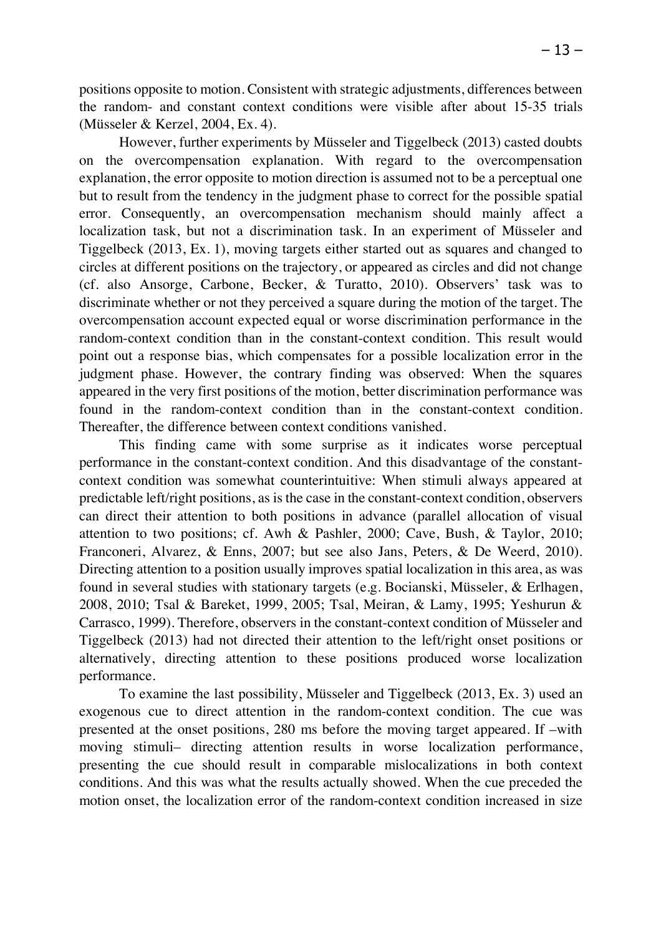positions opposite to motion. Consistent with strategic adjustments, differences between the random- and constant context conditions were visible after about 15-35 trials (Müsseler & Kerzel, 2004, Ex. 4).

However, further experiments by Müsseler and Tiggelbeck (2013) casted doubts on the overcompensation explanation. With regard to the overcompensation explanation, the error opposite to motion direction is assumed not to be a perceptual one but to result from the tendency in the judgment phase to correct for the possible spatial error. Consequently, an overcompensation mechanism should mainly affect a localization task, but not a discrimination task. In an experiment of Müsseler and Tiggelbeck (2013, Ex. 1), moving targets either started out as squares and changed to circles at different positions on the trajectory, or appeared as circles and did not change (cf. also Ansorge, Carbone, Becker, & Turatto, 2010). Observers' task was to discriminate whether or not they perceived a square during the motion of the target. The overcompensation account expected equal or worse discrimination performance in the random-context condition than in the constant-context condition. This result would point out a response bias, which compensates for a possible localization error in the judgment phase. However, the contrary finding was observed: When the squares appeared in the very first positions of the motion, better discrimination performance was found in the random-context condition than in the constant-context condition. Thereafter, the difference between context conditions vanished.

This finding came with some surprise as it indicates worse perceptual performance in the constant-context condition. And this disadvantage of the constantcontext condition was somewhat counterintuitive: When stimuli always appeared at predictable left/right positions, as is the case in the constant-context condition, observers can direct their attention to both positions in advance (parallel allocation of visual attention to two positions; cf. Awh & Pashler, 2000; Cave, Bush, & Taylor, 2010; Franconeri, Alvarez, & Enns, 2007; but see also Jans, Peters, & De Weerd, 2010). Directing attention to a position usually improves spatial localization in this area, as was found in several studies with stationary targets (e.g. Bocianski, Müsseler, & Erlhagen, 2008, 2010; Tsal & Bareket, 1999, 2005; Tsal, Meiran, & Lamy, 1995; Yeshurun & Carrasco, 1999). Therefore, observers in the constant-context condition of Müsseler and Tiggelbeck (2013) had not directed their attention to the left/right onset positions or alternatively, directing attention to these positions produced worse localization performance.

To examine the last possibility, Müsseler and Tiggelbeck (2013, Ex. 3) used an exogenous cue to direct attention in the random-context condition. The cue was presented at the onset positions, 280 ms before the moving target appeared. If –with moving stimuli– directing attention results in worse localization performance, presenting the cue should result in comparable mislocalizations in both context conditions. And this was what the results actually showed. When the cue preceded the motion onset, the localization error of the random-context condition increased in size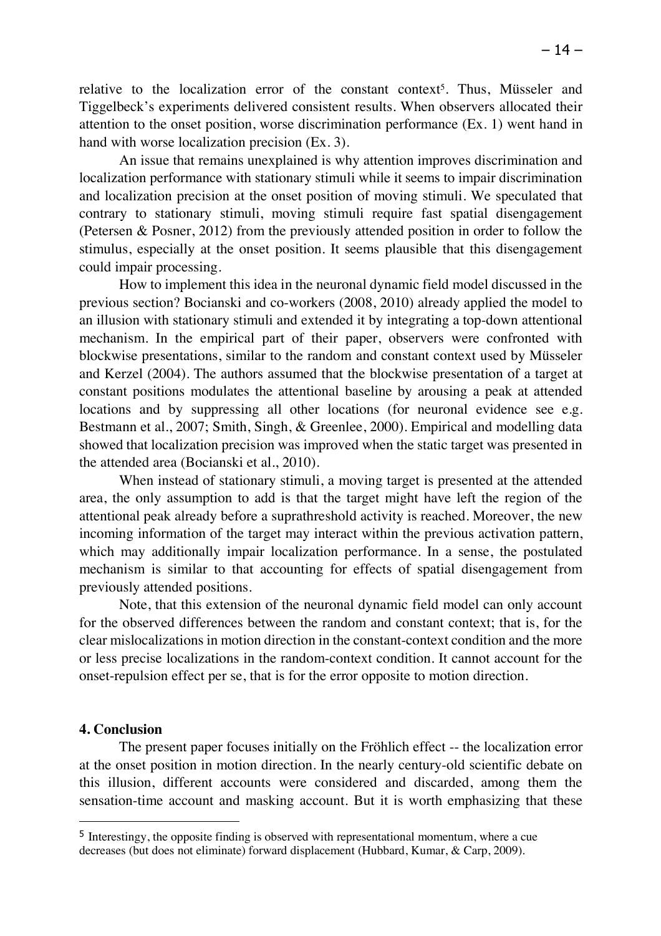relative to the localization error of the constant context<sup>5</sup>. Thus, Müsseler and Tiggelbeck's experiments delivered consistent results. When observers allocated their attention to the onset position, worse discrimination performance (Ex. 1) went hand in hand with worse localization precision (Ex. 3).

An issue that remains unexplained is why attention improves discrimination and localization performance with stationary stimuli while it seems to impair discrimination and localization precision at the onset position of moving stimuli. We speculated that contrary to stationary stimuli, moving stimuli require fast spatial disengagement (Petersen & Posner, 2012) from the previously attended position in order to follow the stimulus, especially at the onset position. It seems plausible that this disengagement could impair processing.

How to implement this idea in the neuronal dynamic field model discussed in the previous section? Bocianski and co-workers (2008, 2010) already applied the model to an illusion with stationary stimuli and extended it by integrating a top-down attentional mechanism. In the empirical part of their paper, observers were confronted with blockwise presentations, similar to the random and constant context used by Müsseler and Kerzel (2004). The authors assumed that the blockwise presentation of a target at constant positions modulates the attentional baseline by arousing a peak at attended locations and by suppressing all other locations (for neuronal evidence see e.g. Bestmann et al., 2007; Smith, Singh, & Greenlee, 2000). Empirical and modelling data showed that localization precision was improved when the static target was presented in the attended area (Bocianski et al., 2010).

When instead of stationary stimuli, a moving target is presented at the attended area, the only assumption to add is that the target might have left the region of the attentional peak already before a suprathreshold activity is reached. Moreover, the new incoming information of the target may interact within the previous activation pattern, which may additionally impair localization performance. In a sense, the postulated mechanism is similar to that accounting for effects of spatial disengagement from previously attended positions.

Note, that this extension of the neuronal dynamic field model can only account for the observed differences between the random and constant context; that is, for the clear mislocalizations in motion direction in the constant-context condition and the more or less precise localizations in the random-context condition. It cannot account for the onset-repulsion effect per se, that is for the error opposite to motion direction.

# **4. Conclusion**

 $\overline{a}$ 

The present paper focuses initially on the Fröhlich effect -- the localization error at the onset position in motion direction. In the nearly century-old scientific debate on this illusion, different accounts were considered and discarded, among them the sensation-time account and masking account. But it is worth emphasizing that these

<sup>5</sup> Interestingy, the opposite finding is observed with representational momentum, where a cue decreases (but does not eliminate) forward displacement (Hubbard, Kumar, & Carp, 2009).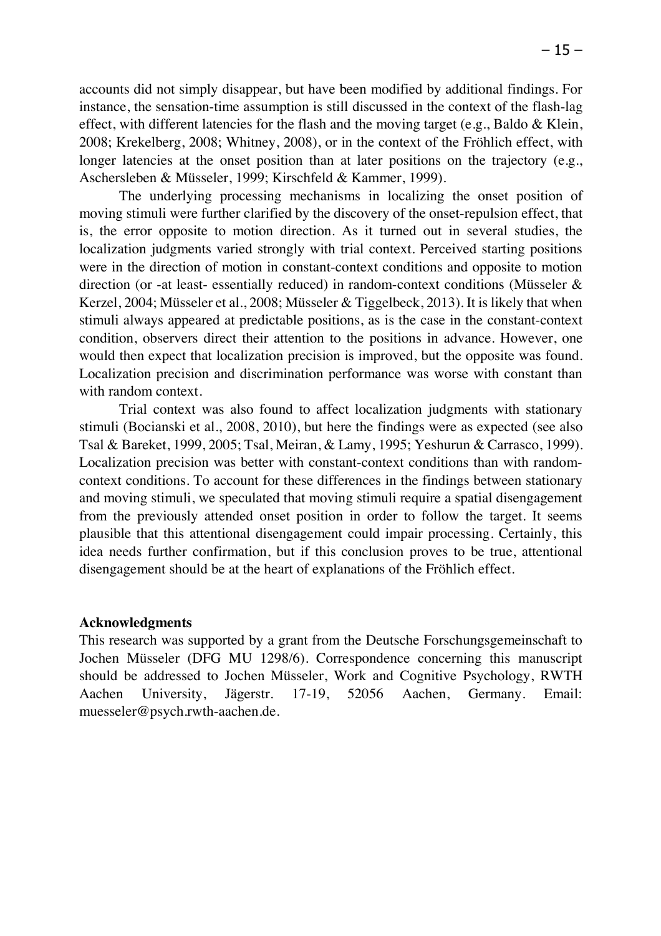accounts did not simply disappear, but have been modified by additional findings. For instance, the sensation-time assumption is still discussed in the context of the flash-lag effect, with different latencies for the flash and the moving target (e.g., Baldo  $&$  Klein, 2008; Krekelberg, 2008; Whitney, 2008), or in the context of the Fröhlich effect, with longer latencies at the onset position than at later positions on the trajectory (e.g., Aschersleben & Müsseler, 1999; Kirschfeld & Kammer, 1999).

The underlying processing mechanisms in localizing the onset position of moving stimuli were further clarified by the discovery of the onset-repulsion effect, that is, the error opposite to motion direction. As it turned out in several studies, the localization judgments varied strongly with trial context. Perceived starting positions were in the direction of motion in constant-context conditions and opposite to motion direction (or -at least- essentially reduced) in random-context conditions (Müsseler & Kerzel, 2004; Müsseler et al., 2008; Müsseler & Tiggelbeck, 2013). It is likely that when stimuli always appeared at predictable positions, as is the case in the constant-context condition, observers direct their attention to the positions in advance. However, one would then expect that localization precision is improved, but the opposite was found. Localization precision and discrimination performance was worse with constant than with random context.

Trial context was also found to affect localization judgments with stationary stimuli (Bocianski et al., 2008, 2010), but here the findings were as expected (see also Tsal & Bareket, 1999, 2005; Tsal, Meiran, & Lamy, 1995; Yeshurun & Carrasco, 1999). Localization precision was better with constant-context conditions than with randomcontext conditions. To account for these differences in the findings between stationary and moving stimuli, we speculated that moving stimuli require a spatial disengagement from the previously attended onset position in order to follow the target. It seems plausible that this attentional disengagement could impair processing. Certainly, this idea needs further confirmation, but if this conclusion proves to be true, attentional disengagement should be at the heart of explanations of the Fröhlich effect.

## **Acknowledgments**

This research was supported by a grant from the Deutsche Forschungsgemeinschaft to Jochen Müsseler (DFG MU 1298/6). Correspondence concerning this manuscript should be addressed to Jochen Müsseler, Work and Cognitive Psychology, RWTH Aachen University, Jägerstr. 17-19, 52056 Aachen, Germany. Email: muesseler@psych.rwth-aachen.de.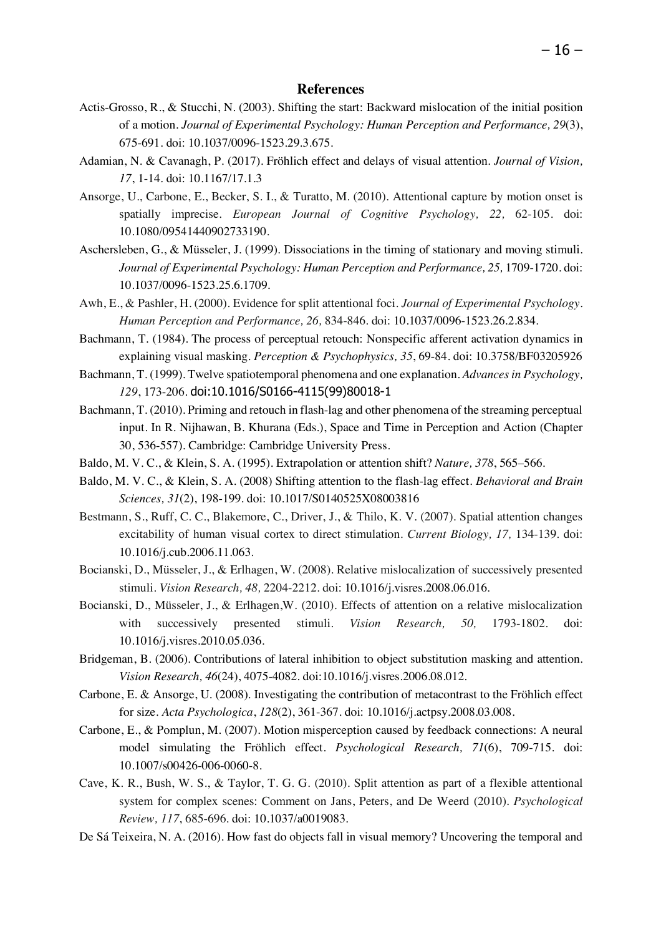- Actis-Grosso, R., & Stucchi, N. (2003). Shifting the start: Backward mislocation of the initial position of a motion. *Journal of Experimental Psychology: Human Perception and Performance, 29*(3), 675-691. doi: 10.1037/0096-1523.29.3.675.
- Adamian, N. & Cavanagh, P. (2017). Fröhlich effect and delays of visual attention. *Journal of Vision, 17*, 1-14. doi: 10.1167/17.1.3
- Ansorge, U., Carbone, E., Becker, S. I., & Turatto, M. (2010). Attentional capture by motion onset is spatially imprecise. *European Journal of Cognitive Psychology, 22,* 62-105. doi: 10.1080/09541440902733190.
- Aschersleben, G., & Müsseler, J. (1999). Dissociations in the timing of stationary and moving stimuli. *Journal of Experimental Psychology: Human Perception and Performance, 25,* 1709-1720. doi: 10.1037/0096-1523.25.6.1709.
- Awh, E., & Pashler, H. (2000). Evidence for split attentional foci. *Journal of Experimental Psychology. Human Perception and Performance, 26,* 834-846. doi: 10.1037/0096-1523.26.2.834.
- Bachmann, T. (1984). The process of perceptual retouch: Nonspecific afferent activation dynamics in explaining visual masking. *Perception & Psychophysics, 35*, 69-84. doi: 10.3758/BF03205926
- Bachmann, T. (1999). Twelve spatiotemporal phenomena and one explanation. *Advances in Psychology, 129*, 173-206. doi:10.1016/S0166-4115(99)80018-1
- Bachmann, T. (2010). Priming and retouch in flash-lag and other phenomena of the streaming perceptual input. In R. Nijhawan, B. Khurana (Eds.), Space and Time in Perception and Action (Chapter 30, 536-557). Cambridge: Cambridge University Press.
- Baldo, M. V. C., & Klein, S. A. (1995). Extrapolation or attention shift? *Nature, 378*, 565–566.
- Baldo, M. V. C., & Klein, S. A. (2008) Shifting attention to the flash-lag effect. *Behavioral and Brain Sciences, 31*(2), 198-199. doi: 10.1017/S0140525X08003816
- Bestmann, S., Ruff, C. C., Blakemore, C., Driver, J., & Thilo, K. V. (2007). Spatial attention changes excitability of human visual cortex to direct stimulation. *Current Biology, 17,* 134-139. doi: 10.1016/j.cub.2006.11.063.
- Bocianski, D., Müsseler, J., & Erlhagen, W. (2008). Relative mislocalization of successively presented stimuli. *Vision Research, 48,* 2204-2212. doi: 10.1016/j.visres.2008.06.016.
- Bocianski, D., Müsseler, J., & Erlhagen,W. (2010). Effects of attention on a relative mislocalization with successively presented stimuli. *Vision Research, 50,* 1793-1802. doi: 10.1016/j.visres.2010.05.036.
- Bridgeman, B. (2006). Contributions of lateral inhibition to object substitution masking and attention. *Vision Research, 46*(24), 4075-4082. doi:10.1016/j.visres.2006.08.012.
- Carbone, E. & Ansorge, U. (2008). Investigating the contribution of metacontrast to the Fröhlich effect for size. *Acta Psychologica*, *128*(2), 361-367. doi: 10.1016/j.actpsy.2008.03.008.
- Carbone, E., & Pomplun, M. (2007). Motion misperception caused by feedback connections: A neural model simulating the Fröhlich effect. *Psychological Research, 71*(6), 709-715. doi: 10.1007/s00426-006-0060-8.
- Cave, K. R., Bush, W. S., & Taylor, T. G. G. (2010). Split attention as part of a flexible attentional system for complex scenes: Comment on Jans, Peters, and De Weerd (2010). *Psychological Review, 117*, 685-696. doi: 10.1037/a0019083.
- De Sá Teixeira, N. A. (2016). How fast do objects fall in visual memory? Uncovering the temporal and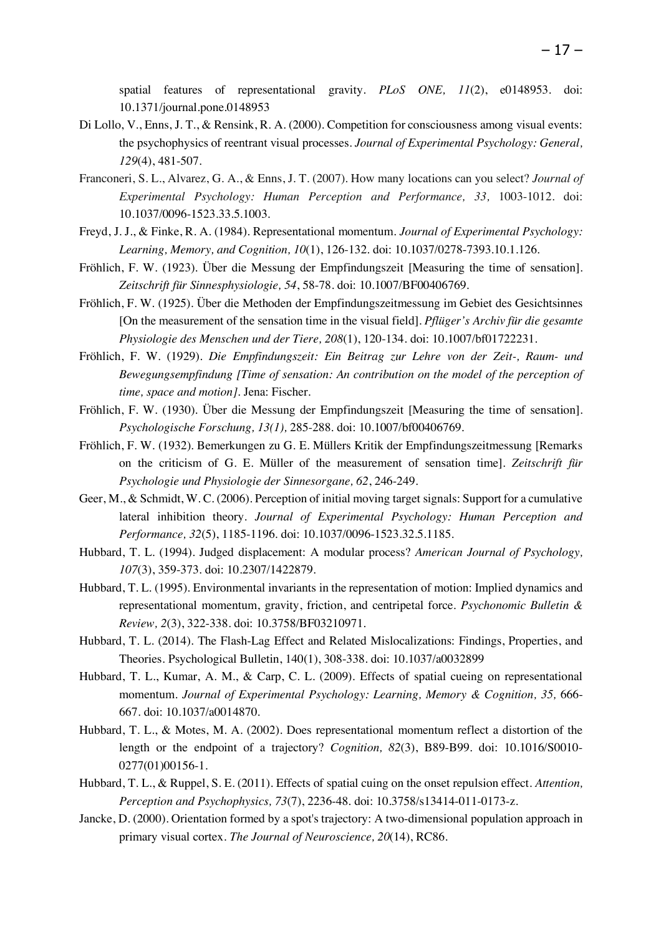spatial features of representational gravity. *PLoS ONE, 11*(2), e0148953. doi: 10.1371/journal.pone.0148953

- Di Lollo, V., Enns, J. T., & Rensink, R. A. (2000). Competition for consciousness among visual events: the psychophysics of reentrant visual processes. *Journal of Experimental Psychology: General, 129*(4), 481-507.
- Franconeri, S. L., Alvarez, G. A., & Enns, J. T. (2007). How many locations can you select? *Journal of Experimental Psychology: Human Perception and Performance, 33,* 1003-1012. doi: 10.1037/0096-1523.33.5.1003.
- Freyd, J. J., & Finke, R. A. (1984). Representational momentum. *Journal of Experimental Psychology: Learning, Memory, and Cognition, 10*(1), 126-132. doi: 10.1037/0278-7393.10.1.126.
- Fröhlich, F. W. (1923). Über die Messung der Empfindungszeit [Measuring the time of sensation]. *Zeitschrift für Sinnesphysiologie, 54*, 58-78. doi: 10.1007/BF00406769.
- Fröhlich, F. W. (1925). Über die Methoden der Empfindungszeitmessung im Gebiet des Gesichtsinnes [On the measurement of the sensation time in the visual field]. *Pflüger's Archiv für die gesamte Physiologie des Menschen und der Tiere, 208*(1), 120-134. doi: 10.1007/bf01722231.
- Fröhlich, F. W. (1929). *Die Empfindungszeit: Ein Beitrag zur Lehre von der Zeit-, Raum- und Bewegungsempfindung [Time of sensation: An contribution on the model of the perception of time, space and motion]*. Jena: Fischer.
- Fröhlich, F. W. (1930). Über die Messung der Empfindungszeit [Measuring the time of sensation]. *Psychologische Forschung, 13(1),* 285-288. doi: 10.1007/bf00406769.
- Fröhlich, F. W. (1932). Bemerkungen zu G. E. Müllers Kritik der Empfindungszeitmessung [Remarks on the criticism of G. E. Müller of the measurement of sensation time]. *Zeitschrift für Psychologie und Physiologie der Sinnesorgane, 62*, 246-249.
- Geer, M., & Schmidt, W. C. (2006). Perception of initial moving target signals: Support for a cumulative lateral inhibition theory. *Journal of Experimental Psychology: Human Perception and Performance, 32*(5), 1185-1196. doi: 10.1037/0096-1523.32.5.1185.
- Hubbard, T. L. (1994). Judged displacement: A modular process? *American Journal of Psychology, 107*(3), 359-373. doi: 10.2307/1422879.
- Hubbard, T. L. (1995). Environmental invariants in the representation of motion: Implied dynamics and representational momentum, gravity, friction, and centripetal force. *Psychonomic Bulletin & Review, 2*(3), 322-338. doi: 10.3758/BF03210971.
- Hubbard, T. L. (2014). The Flash-Lag Effect and Related Mislocalizations: Findings, Properties, and Theories. Psychological Bulletin, 140(1), 308-338. doi: 10.1037/a0032899
- Hubbard, T. L., Kumar, A. M., & Carp, C. L. (2009). Effects of spatial cueing on representational momentum. *Journal of Experimental Psychology: Learning, Memory & Cognition, 35,* 666- 667. doi: 10.1037/a0014870.
- Hubbard, T. L., & Motes, M. A. (2002). Does representational momentum reflect a distortion of the length or the endpoint of a trajectory? *Cognition, 82*(3), B89-B99. doi: 10.1016/S0010- 0277(01)00156-1.
- Hubbard, T. L., & Ruppel, S. E. (2011). Effects of spatial cuing on the onset repulsion effect. *Attention, Perception and Psychophysics, 73*(7), 2236-48. doi: 10.3758/s13414-011-0173-z.
- Jancke, D. (2000). Orientation formed by a spot's trajectory: A two-dimensional population approach in primary visual cortex. *The Journal of Neuroscience, 20*(14), RC86.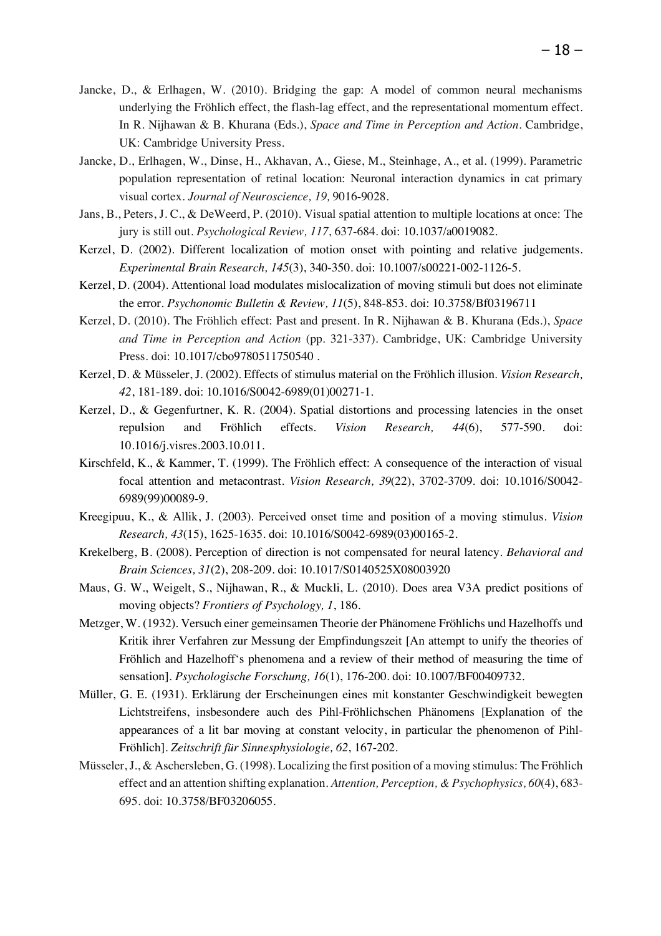- Jancke, D., & Erlhagen, W. (2010). Bridging the gap: A model of common neural mechanisms underlying the Fröhlich effect, the flash-lag effect, and the representational momentum effect. In R. Nijhawan & B. Khurana (Eds.), *Space and Time in Perception and Action.* Cambridge, UK: Cambridge University Press.
- Jancke, D., Erlhagen, W., Dinse, H., Akhavan, A., Giese, M., Steinhage, A., et al. (1999). Parametric population representation of retinal location: Neuronal interaction dynamics in cat primary visual cortex. *Journal of Neuroscience, 19,* 9016-9028.
- Jans, B., Peters, J. C., & DeWeerd, P. (2010). Visual spatial attention to multiple locations at once: The jury is still out. *Psychological Review, 117*, 637-684. doi: 10.1037/a0019082.
- Kerzel, D. (2002). Different localization of motion onset with pointing and relative judgements. *Experimental Brain Research, 145*(3), 340-350. doi: 10.1007/s00221-002-1126-5.
- Kerzel, D. (2004). Attentional load modulates mislocalization of moving stimuli but does not eliminate the error. *Psychonomic Bulletin & Review, 11*(5), 848-853. doi: 10.3758/Bf03196711
- Kerzel, D. (2010). The Fröhlich effect: Past and present. In R. Nijhawan & B. Khurana (Eds.), *Space and Time in Perception and Action* (pp. 321-337). Cambridge, UK: Cambridge University Press. doi: 10.1017/cbo9780511750540 .
- Kerzel, D. & Müsseler, J. (2002). Effects of stimulus material on the Fröhlich illusion. *Vision Research, 42*, 181-189. doi: 10.1016/S0042-6989(01)00271-1.
- Kerzel, D., & Gegenfurtner, K. R. (2004). Spatial distortions and processing latencies in the onset repulsion and Fröhlich effects. *Vision Research, 44*(6), 577-590. doi: 10.1016/j.visres.2003.10.011.
- Kirschfeld, K., & Kammer, T. (1999). The Fröhlich effect: A consequence of the interaction of visual focal attention and metacontrast. *Vision Research, 39*(22), 3702-3709. doi: 10.1016/S0042- 6989(99)00089-9.
- Kreegipuu, K., & Allik, J. (2003). Perceived onset time and position of a moving stimulus. *Vision Research, 43*(15), 1625-1635. doi: 10.1016/S0042-6989(03)00165-2.
- Krekelberg, B. (2008). Perception of direction is not compensated for neural latency. *Behavioral and Brain Sciences, 31*(2), 208-209. doi: 10.1017/S0140525X08003920
- Maus, G. W., Weigelt, S., Nijhawan, R., & Muckli, L. (2010). Does area V3A predict positions of moving objects? *Frontiers of Psychology, 1*, 186.
- Metzger, W. (1932). Versuch einer gemeinsamen Theorie der Phänomene Fröhlichs und Hazelhoffs und Kritik ihrer Verfahren zur Messung der Empfindungszeit [An attempt to unify the theories of Fröhlich and Hazelhoff's phenomena and a review of their method of measuring the time of sensation]. *Psychologische Forschung, 16*(1), 176-200. doi: 10.1007/BF00409732.
- Müller, G. E. (1931). Erklärung der Erscheinungen eines mit konstanter Geschwindigkeit bewegten Lichtstreifens, insbesondere auch des Pihl-Fröhlichschen Phänomens [Explanation of the appearances of a lit bar moving at constant velocity, in particular the phenomenon of Pihl-Fröhlich]. *Zeitschrift für Sinnesphysiologie, 62*, 167-202.
- Müsseler, J., & Aschersleben, G. (1998). Localizing the first position of a moving stimulus: The Fröhlich effect and an attention shifting explanation. *Attention, Perception, & Psychophysics, 60*(4), 683- 695. doi: 10.3758/BF03206055.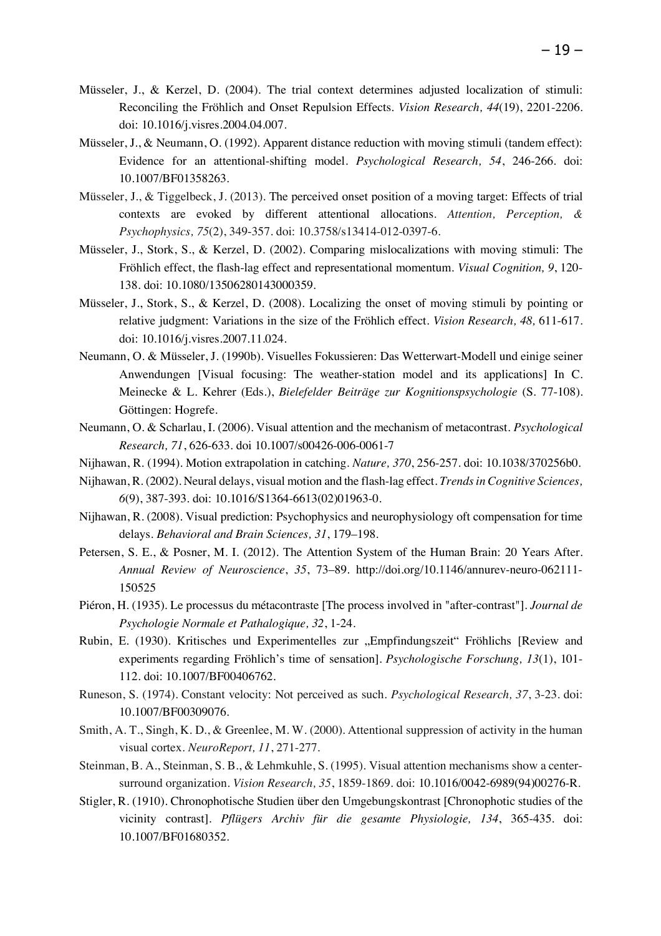- Müsseler, J., & Kerzel, D. (2004). The trial context determines adjusted localization of stimuli: Reconciling the Fröhlich and Onset Repulsion Effects. *Vision Research, 44*(19), 2201-2206. doi: 10.1016/j.visres.2004.04.007.
- Müsseler, J., & Neumann, O. (1992). Apparent distance reduction with moving stimuli (tandem effect): Evidence for an attentional-shifting model. *Psychological Research, 54*, 246-266. doi: 10.1007/BF01358263.
- Müsseler, J., & Tiggelbeck, J. (2013). The perceived onset position of a moving target: Effects of trial contexts are evoked by different attentional allocations. *Attention, Perception, & Psychophysics, 75*(2), 349-357. doi: 10.3758/s13414-012-0397-6.
- Müsseler, J., Stork, S., & Kerzel, D. (2002). Comparing mislocalizations with moving stimuli: The Fröhlich effect, the flash-lag effect and representational momentum. *Visual Cognition, 9*, 120- 138. doi: 10.1080/13506280143000359.
- Müsseler, J., Stork, S., & Kerzel, D. (2008). Localizing the onset of moving stimuli by pointing or relative judgment: Variations in the size of the Fröhlich effect. *Vision Research, 48,* 611-617. doi: 10.1016/j.visres.2007.11.024.
- Neumann, O. & Müsseler, J. (1990b). Visuelles Fokussieren: Das Wetterwart-Modell und einige seiner Anwendungen [Visual focusing: The weather-station model and its applications] In C. Meinecke & L. Kehrer (Eds.), *Bielefelder Beiträge zur Kognitionspsychologie* (S. 77-108). Göttingen: Hogrefe.
- Neumann, O. & Scharlau, I. (2006). Visual attention and the mechanism of metacontrast. *Psychological Research, 71*, 626-633. doi 10.1007/s00426-006-0061-7
- Nijhawan, R. (1994). Motion extrapolation in catching. *Nature, 370*, 256-257. doi: 10.1038/370256b0.
- Nijhawan, R. (2002). Neural delays, visual motion and the flash-lag effect. *Trends in Cognitive Sciences, 6*(9), 387-393. doi: 10.1016/S1364-6613(02)01963-0.
- Nijhawan, R. (2008). Visual prediction: Psychophysics and neurophysiology oft compensation for time delays. *Behavioral and Brain Sciences, 31*, 179–198.
- Petersen, S. E., & Posner, M. I. (2012). The Attention System of the Human Brain: 20 Years After. *Annual Review of Neuroscience*, *35*, 73–89. http://doi.org/10.1146/annurev-neuro-062111- 150525
- Piéron, H. (1935). Le processus du métacontraste [The process involved in "after-contrast"]. *Journal de Psychologie Normale et Pathalogique, 32*, 1-24.
- Rubin, E. (1930). Kritisches und Experimentelles zur "Empfindungszeit" Fröhlichs [Review and experiments regarding Fröhlich's time of sensation]. *Psychologische Forschung, 13*(1), 101- 112. doi: 10.1007/BF00406762.
- Runeson, S. (1974). Constant velocity: Not perceived as such. *Psychological Research, 37*, 3-23. doi: 10.1007/BF00309076.
- Smith, A. T., Singh, K. D., & Greenlee, M. W. (2000). Attentional suppression of activity in the human visual cortex. *NeuroReport, 11*, 271-277.
- Steinman, B. A., Steinman, S. B., & Lehmkuhle, S. (1995). Visual attention mechanisms show a centersurround organization. *Vision Research, 35*, 1859-1869. doi: 10.1016/0042-6989(94)00276-R.
- Stigler, R. (1910). Chronophotische Studien über den Umgebungskontrast [Chronophotic studies of the vicinity contrast]. *Pflügers Archiv für die gesamte Physiologie, 134*, 365-435. doi: 10.1007/BF01680352.